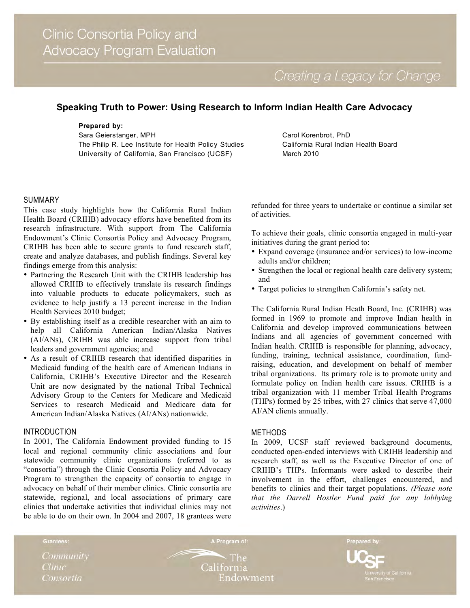Creating a Legacy for Change

# **Speaking Truth to Power: Using Research to Inform Indian Health Care Advocacy**

# **Prepared by:**

Sara Geierstanger, MPH The Philip R. Lee Institute for Health Policy Studies University of California, San Francisco (UCSF)

Carol Korenbrot, PhD California Rural Indian Health Board March 2010

#### SUMMARY

This case study highlights how the California Rural Indian Health Board (CRIHB) advocacy efforts have benefited from its research infrastructure. With support from The California Endowment's Clinic Consortia Policy and Advocacy Program, CRIHB has been able to secure grants to fund research staff, create and analyze databases, and publish findings. Several key findings emerge from this analysis:

- Partnering the Research Unit with the CRIHB leadership has allowed CRIHB to effectively translate its research findings into valuable products to educate policymakers, such as evidence to help justify a 13 percent increase in the Indian Health Services 2010 budget;
- By establishing itself as a credible researcher with an aim to help all California American Indian/Alaska Natives (AI/ANs), CRIHB was able increase support from tribal leaders and government agencies; and
- As a result of CRIHB research that identified disparities in Medicaid funding of the health care of American Indians in California, CRIHB's Executive Director and the Research Unit are now designated by the national Tribal Technical Advisory Group to the Centers for Medicare and Medicaid Services to research Medicaid and Medicare data for American Indian/Alaska Natives (AI/ANs) nationwide.

#### INTRODUCTION

In 2001, The California Endowment provided funding to 15 local and regional community clinic associations and four statewide community clinic organizations (referred to as "consortia") through the Clinic Consortia Policy and Advocacy Program to strengthen the capacity of consortia to engage in advocacy on behalf of their member clinics. Clinic consortia are statewide, regional, and local associations of primary care clinics that undertake activities that individual clinics may not be able to do on their own. In 2004 and 2007, 18 grantees were

refunded for three years to undertake or continue a similar set of activities.

To achieve their goals, clinic consortia engaged in multi-year initiatives during the grant period to:

- Expand coverage (insurance and/or services) to low-income adults and/or children;
- Strengthen the local or regional health care delivery system; and
- Target policies to strengthen California's safety net.

The California Rural Indian Heath Board, Inc. (CRIHB) was formed in 1969 to promote and improve Indian health in California and develop improved communications between Indians and all agencies of government concerned with Indian health. CRIHB is responsible for planning, advocacy, funding, training, technical assistance, coordination, fundraising, education, and development on behalf of member tribal organizations. Its primary role is to promote unity and formulate policy on Indian health care issues. CRIHB is a tribal organization with 11 member Tribal Health Programs (THPs) formed by 25 tribes, with 27 clinics that serve 47,000 AI/AN clients annually.

## METHODS

In 2009, UCSF staff reviewed background documents, conducted open-ended interviews with CRIHB leadership and research staff, as well as the Executive Director of one of CRIHB's THPs. Informants were asked to describe their involvement in the effort, challenges encountered, and benefits to clinics and their target populations. *(Please note that the Darrell Hostler Fund paid for any lobbying activities*.)

Community

Grantees:

**Clinic** Consortia

 $\cdot$  The California Endowment

A Program of:

Prepared by: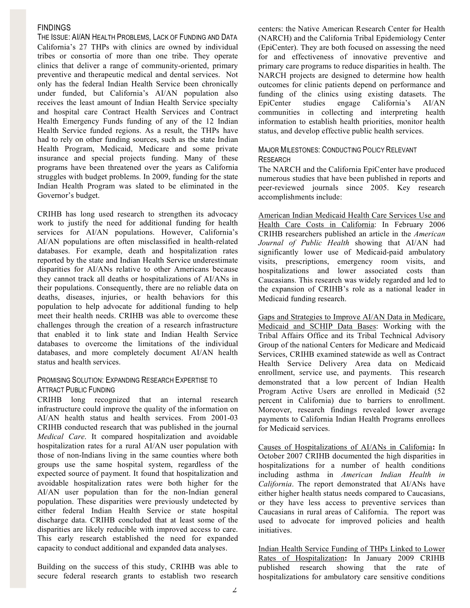## **FINDINGS**

THE ISSUE: AI/AN HEALTH PROBLEMS, LACK OF FUNDING AND DATA California's 27 THPs with clinics are owned by individual tribes or consortia of more than one tribe. They operate clinics that deliver a range of community-oriented, primary preventive and therapeutic medical and dental services. Not only has the federal Indian Health Service been chronically under funded, but California's AI/AN population also receives the least amount of Indian Health Service specialty and hospital care Contract Health Services and Contract Health Emergency Funds funding of any of the 12 Indian Health Service funded regions. As a result, the THPs have had to rely on other funding sources, such as the state Indian Health Program, Medicaid, Medicare and some private insurance and special projects funding. Many of these programs have been threatened over the years as California struggles with budget problems. In 2009, funding for the state Indian Health Program was slated to be eliminated in the Governor's budget.

CRIHB has long used research to strengthen its advocacy work to justify the need for additional funding for health services for AI/AN populations. However, California's AI/AN populations are often misclassified in health-related databases. For example, death and hospitalization rates reported by the state and Indian Health Service underestimate disparities for AI/ANs relative to other Americans because they cannot track all deaths or hospitalizations of AI/ANs in their populations. Consequently, there are no reliable data on deaths, diseases, injuries, or health behaviors for this population to help advocate for additional funding to help meet their health needs. CRIHB was able to overcome these challenges through the creation of a research infrastructure that enabled it to link state and Indian Health Service databases to overcome the limitations of the individual databases, and more completely document AI/AN health status and health services.

## PROMISING SOLUTION: EXPANDING RESEARCH EXPERTISE TO ATTRACT PUBLIC FUNDING

CRIHB long recognized that an internal research infrastructure could improve the quality of the information on AI/AN health status and health services. From 2001-03 CRIHB conducted research that was published in the journal *Medical Care*. It compared hospitalization and avoidable hospitalization rates for a rural AI/AN user population with those of non-Indians living in the same counties where both groups use the same hospital system, regardless of the expected source of payment. It found that hospitalization and avoidable hospitalization rates were both higher for the AI/AN user population than for the non-Indian general population. These disparities were previously undetected by either federal Indian Health Service or state hospital discharge data. CRIHB concluded that at least some of the disparities are likely reducible with improved access to care. This early research established the need for expanded capacity to conduct additional and expanded data analyses.

Building on the success of this study, CRIHB was able to secure federal research grants to establish two research centers: the Native American Research Center for Health (NARCH) and the California Tribal Epidemiology Center (EpiCenter). They are both focused on assessing the need for and effectiveness of innovative preventive and primary care programs to reduce disparities in health. The NARCH projects are designed to determine how health outcomes for clinic patients depend on performance and funding of the clinics using existing datasets. The EpiCenter studies engage California's AI/AN communities in collecting and interpreting health information to establish health priorities, monitor health status, and develop effective public health services.

# MAJOR MILESTONES: CONDUCTING POLICY RELEVANT **RESEARCH**

The NARCH and the California EpiCenter have produced numerous studies that have been published in reports and peer-reviewed journals since 2005. Key research accomplishments include:

American Indian Medicaid Health Care Services Use and Health Care Costs in California: In February 2006 CRIHB researchers published an article in the *American Journal of Public Health* showing that AI/AN had significantly lower use of Medicaid-paid ambulatory visits, prescriptions, emergency room visits, and hospitalizations and lower associated costs than Caucasians. This research was widely regarded and led to the expansion of CRIHB's role as a national leader in Medicaid funding research.

Gaps and Strategies to Improve AI/AN Data in Medicare, Medicaid and SCHIP Data Bases: Working with the Tribal Affairs Office and its Tribal Technical Advisory Group of the national Centers for Medicare and Medicaid Services, CRIHB examined statewide as well as Contract Health Service Delivery Area data on Medicaid enrollment, service use, and payments. This research demonstrated that a low percent of Indian Health Program Active Users are enrolled in Medicaid (52 percent in California) due to barriers to enrollment. Moreover, research findings revealed lower average payments to California Indian Health Programs enrollees for Medicaid services.

Causes of Hospitalizations of AI/ANs in California**:** In October 2007 CRIHB documented the high disparities in hospitalizations for a number of health conditions including asthma in *American Indian Health in California*. The report demonstrated that AI/ANs have either higher health status needs compared to Caucasians, or they have less access to preventive services than Caucasians in rural areas of California. The report was used to advocate for improved policies and health initiatives.

Indian Health Service Funding of THPs Linked to Lower Rates of Hospitalization**:** In January 2009 CRIHB published research showing that the rate of hospitalizations for ambulatory care sensitive conditions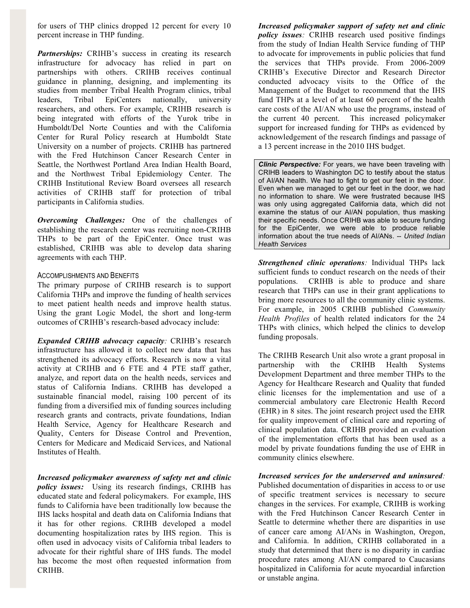for users of THP clinics dropped 12 percent for every 10 percent increase in THP funding.

*Partnerships:* CRIHB's success in creating its research infrastructure for advocacy has relied in part on partnerships with others. CRIHB receives continual guidance in planning, designing, and implementing its studies from member Tribal Health Program clinics, tribal leaders, Tribal EpiCenters nationally, university researchers, and others. For example, CRIHB research is being integrated with efforts of the Yurok tribe in Humboldt/Del Norte Counties and with the California Center for Rural Policy research at Humboldt State University on a number of projects. CRIHB has partnered with the Fred Hutchinson Cancer Research Center in Seattle, the Northwest Portland Area Indian Health Board, and the Northwest Tribal Epidemiology Center. The CRIHB Institutional Review Board oversees all research activities of CRIHB staff for protection of tribal participants in California studies.

*Overcoming Challenges:* One of the challenges of establishing the research center was recruiting non-CRIHB THPs to be part of the EpiCenter. Once trust was established, CRIHB was able to develop data sharing agreements with each THP.

#### ACCOMPLISHMENTS AND BENEFITS

The primary purpose of CRIHB research is to support California THPs and improve the funding of health services to meet patient health needs and improve health status. Using the grant Logic Model, the short and long-term outcomes of CRIHB's research-based advocacy include:

*Expanded CRIHB advocacy capacity:* CRIHB's research infrastructure has allowed it to collect new data that has strengthened its advocacy efforts. Research is now a vital activity at CRIHB and 6 FTE and 4 PTE staff gather, analyze, and report data on the health needs, services and status of California Indians. CRIHB has developed a sustainable financial model, raising 100 percent of its funding from a diversified mix of funding sources including research grants and contracts, private foundations, Indian Health Service, Agency for Healthcare Research and Quality, Centers for Disease Control and Prevention, Centers for Medicare and Medicaid Services, and National Institutes of Health.

*Increased policymaker awareness of safety net and clinic policy issues:* Using its research findings, CRIHB has educated state and federal policymakers. For example, IHS funds to California have been traditionally low because the IHS lacks hospital and death data on California Indians that it has for other regions. CRIHB developed a model documenting hospitalization rates by IHS region. This is often used in advocacy visits of California tribal leaders to advocate for their rightful share of IHS funds. The model has become the most often requested information from CRIHB.

*Increased policymaker support of safety net and clinic policy issues:* CRIHB research used positive findings from the study of Indian Health Service funding of THP to advocate for improvements in public policies that fund the services that THPs provide. From 2006-2009 CRIHB's Executive Director and Research Director conducted advocacy visits to the Office of the Management of the Budget to recommend that the IHS fund THPs at a level of at least 60 percent of the health care costs of the AI/AN who use the programs, instead of the current 40 percent. This increased policymaker support for increased funding for THPs as evidenced by acknowledgement of the research findings and passage of a 13 percent increase in the 2010 IHS budget.

*Clinic Perspective:* For years, we have been traveling with CRIHB leaders to Washington DC to testify about the status of AI/AN health. We had to fight to get our feet in the door. Even when we managed to get our feet in the door, we had no information to share. We were frustrated because IHS was only using aggregated California data, which did not examine the status of our AI/AN population, thus masking their specific needs. Once CRIHB was able to secure funding for the EpiCenter, we were able to produce reliable information about the true needs of AI/ANs. -- *United Indian Health Services*

*Strengthened clinic operations:* Individual THPs lack sufficient funds to conduct research on the needs of their populations. CRIHB is able to produce and share research that THPs can use in their grant applications to bring more resources to all the community clinic systems. For example, in 2005 CRIHB published *Community Health Profiles* of health related indicators for the 24 THPs with clinics, which helped the clinics to develop funding proposals.

The CRIHB Research Unit also wrote a grant proposal in partnership with the CRIHB Health Systems Development Department and three member THPs to the Agency for Healthcare Research and Quality that funded clinic licenses for the implementation and use of a commercial ambulatory care Electronic Health Record (EHR) in 8 sites. The joint research project used the EHR for quality improvement of clinical care and reporting of clinical population data. CRIHB provided an evaluation of the implementation efforts that has been used as a model by private foundations funding the use of EHR in community clinics elsewhere.

## *Increased services for the underserved and uninsured:*

Published documentation of disparities in access to or use of specific treatment services is necessary to secure changes in the services. For example, CRIHB is working with the Fred Hutchinson Cancer Research Center in Seattle to determine whether there are disparities in use of cancer care among AI/ANs in Washington, Oregon, and California. In addition, CRIHB collaborated in a study that determined that there is no disparity in cardiac procedure rates among AI/AN compared to Caucasians hospitalized in California for acute myocardial infarction or unstable angina.